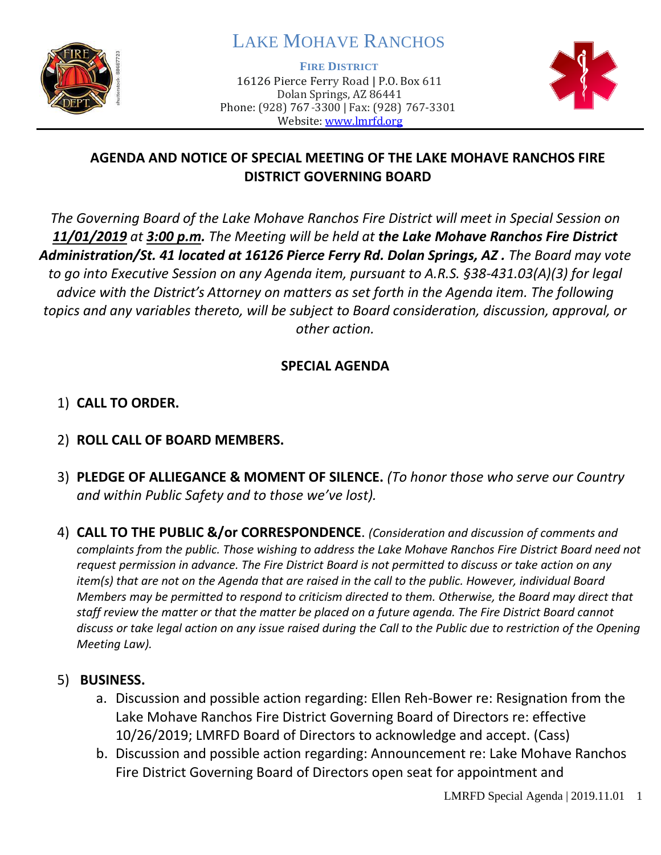

# LAKE MOHAVE RANCHOS

**FIRE DISTRICT**

16126 Pierce Ferry Road | P.O. Box 611 Dolan Springs, AZ 86441 Phone: (928) 767-3300 | Fax: (928) 767-3301 Website: [www.lmrfd.org](http://www.lmrfd.org/)



## **AGENDA AND NOTICE OF SPECIAL MEETING OF THE LAKE MOHAVE RANCHOS FIRE DISTRICT GOVERNING BOARD**

*The Governing Board of the Lake Mohave Ranchos Fire District will meet in Special Session on 11/01/2019 at 3:00 p.m. The Meeting will be held at the Lake Mohave Ranchos Fire District Administration/St. 41 located at 16126 Pierce Ferry Rd. Dolan Springs, AZ . The Board may vote to go into Executive Session on any Agenda item, pursuant to A.R.S. §38-431.03(A)(3) for legal advice with the District's Attorney on matters as set forth in the Agenda item. The following topics and any variables thereto, will be subject to Board consideration, discussion, approval, or other action.* 

## **SPECIAL AGENDA**

## 1) **CALL TO ORDER.**

## 2) **ROLL CALL OF BOARD MEMBERS.**

- 3) **PLEDGE OF ALLIEGANCE & MOMENT OF SILENCE.** *(To honor those who serve our Country and within Public Safety and to those we've lost).*
- 4) **CALL TO THE PUBLIC &/or CORRESPONDENCE**. *(Consideration and discussion of comments and complaints from the public. Those wishing to address the Lake Mohave Ranchos Fire District Board need not request permission in advance. The Fire District Board is not permitted to discuss or take action on any item(s) that are not on the Agenda that are raised in the call to the public. However, individual Board Members may be permitted to respond to criticism directed to them. Otherwise, the Board may direct that staff review the matter or that the matter be placed on a future agenda. The Fire District Board cannot discuss or take legal action on any issue raised during the Call to the Public due to restriction of the Opening Meeting Law).*

### 5) **BUSINESS.**

- a. Discussion and possible action regarding: Ellen Reh-Bower re: Resignation from the Lake Mohave Ranchos Fire District Governing Board of Directors re: effective 10/26/2019; LMRFD Board of Directors to acknowledge and accept. (Cass)
- b. Discussion and possible action regarding: Announcement re: Lake Mohave Ranchos Fire District Governing Board of Directors open seat for appointment and